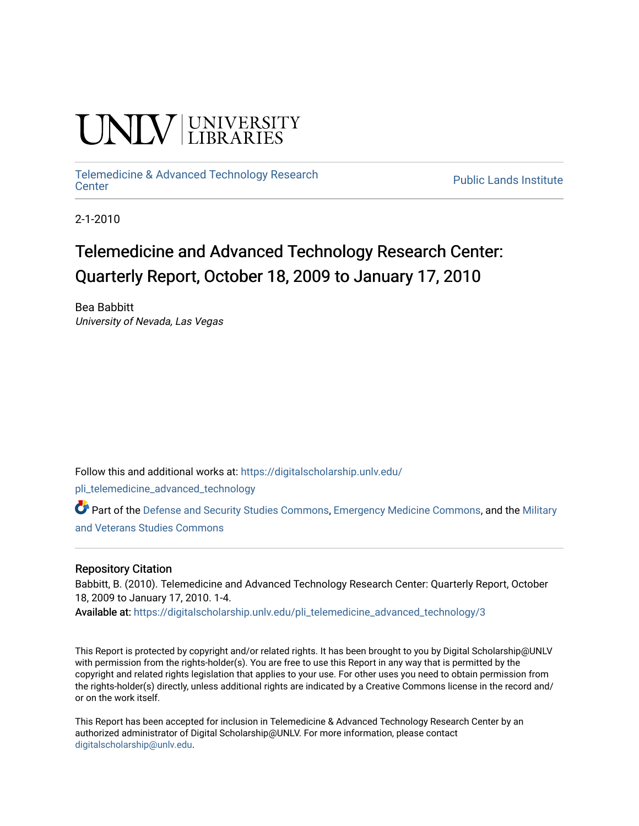# **CINITY** UNIVERSITY

## [Telemedicine & Advanced Technology Research](https://digitalscholarship.unlv.edu/pli_telemedicine_advanced_technology)

**Public Lands Institute** 

2-1-2010

### Telemedicine and Advanced Technology Research Center: Quarterly Report, October 18, 2009 to January 17, 2010

Bea Babbitt University of Nevada, Las Vegas

Follow this and additional works at: [https://digitalscholarship.unlv.edu/](https://digitalscholarship.unlv.edu/pli_telemedicine_advanced_technology?utm_source=digitalscholarship.unlv.edu%2Fpli_telemedicine_advanced_technology%2F3&utm_medium=PDF&utm_campaign=PDFCoverPages)

[pli\\_telemedicine\\_advanced\\_technology](https://digitalscholarship.unlv.edu/pli_telemedicine_advanced_technology?utm_source=digitalscholarship.unlv.edu%2Fpli_telemedicine_advanced_technology%2F3&utm_medium=PDF&utm_campaign=PDFCoverPages) 

Part of the [Defense and Security Studies Commons](http://network.bepress.com/hgg/discipline/394?utm_source=digitalscholarship.unlv.edu%2Fpli_telemedicine_advanced_technology%2F3&utm_medium=PDF&utm_campaign=PDFCoverPages), [Emergency Medicine Commons,](http://network.bepress.com/hgg/discipline/685?utm_source=digitalscholarship.unlv.edu%2Fpli_telemedicine_advanced_technology%2F3&utm_medium=PDF&utm_campaign=PDFCoverPages) and the [Military](http://network.bepress.com/hgg/discipline/396?utm_source=digitalscholarship.unlv.edu%2Fpli_telemedicine_advanced_technology%2F3&utm_medium=PDF&utm_campaign=PDFCoverPages)  [and Veterans Studies Commons](http://network.bepress.com/hgg/discipline/396?utm_source=digitalscholarship.unlv.edu%2Fpli_telemedicine_advanced_technology%2F3&utm_medium=PDF&utm_campaign=PDFCoverPages) 

#### Repository Citation

Babbitt, B. (2010). Telemedicine and Advanced Technology Research Center: Quarterly Report, October 18, 2009 to January 17, 2010. 1-4.

Available at: [https://digitalscholarship.unlv.edu/pli\\_telemedicine\\_advanced\\_technology/3](https://digitalscholarship.unlv.edu/pli_telemedicine_advanced_technology/3) 

This Report is protected by copyright and/or related rights. It has been brought to you by Digital Scholarship@UNLV with permission from the rights-holder(s). You are free to use this Report in any way that is permitted by the copyright and related rights legislation that applies to your use. For other uses you need to obtain permission from the rights-holder(s) directly, unless additional rights are indicated by a Creative Commons license in the record and/ or on the work itself.

This Report has been accepted for inclusion in Telemedicine & Advanced Technology Research Center by an authorized administrator of Digital Scholarship@UNLV. For more information, please contact [digitalscholarship@unlv.edu](mailto:digitalscholarship@unlv.edu).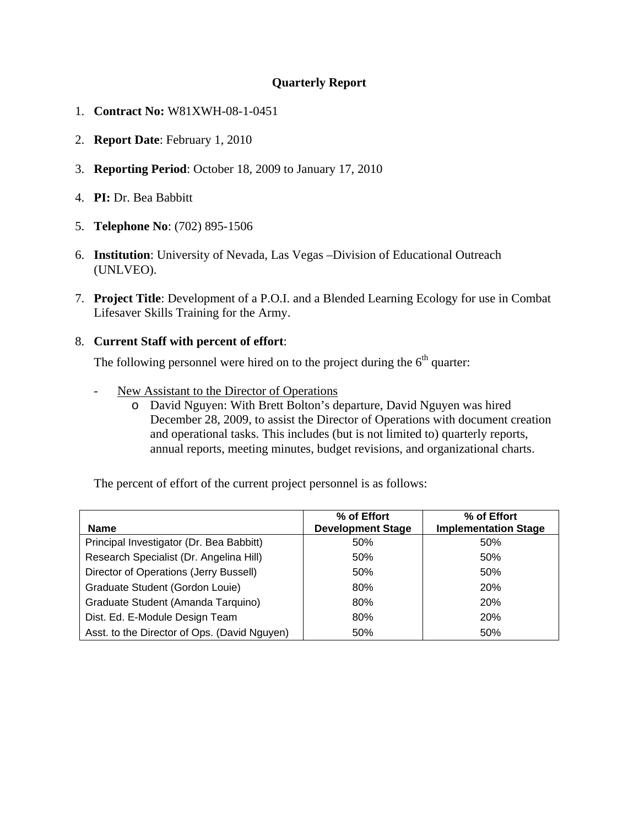#### **Quarterly Report**

- 1. **Contract No:** W81XWH-08-1-0451
- 2. **Report Date**: February 1, 2010
- 3. **Reporting Period**: October 18, 2009 to January 17, 2010
- 4. **PI:** Dr. Bea Babbitt
- 5. **Telephone No**: (702) 895-1506
- 6. **Institution**: University of Nevada, Las Vegas –Division of Educational Outreach (UNLVEO).
- 7. **Project Title**: Development of a P.O.I. and a Blended Learning Ecology for use in Combat Lifesaver Skills Training for the Army.

#### 8. **Current Staff with percent of effort**:

The following personnel were hired on to the project during the  $6<sup>th</sup>$  quarter:

- New Assistant to the Director of Operations
	- o David Nguyen: With Brett Bolton's departure, David Nguyen was hired December 28, 2009, to assist the Director of Operations with document creation and operational tasks. This includes (but is not limited to) quarterly reports, annual reports, meeting minutes, budget revisions, and organizational charts.

The percent of effort of the current project personnel is as follows:

| <b>Name</b>                                  | % of Effort<br><b>Development Stage</b> | % of Effort<br><b>Implementation Stage</b> |
|----------------------------------------------|-----------------------------------------|--------------------------------------------|
| Principal Investigator (Dr. Bea Babbitt)     | 50%                                     | 50%                                        |
| Research Specialist (Dr. Angelina Hill)      | 50%                                     | 50%                                        |
| Director of Operations (Jerry Bussell)       | 50%                                     | 50%                                        |
| Graduate Student (Gordon Louie)              | 80%                                     | <b>20%</b>                                 |
| Graduate Student (Amanda Tarquino)           | 80%                                     | <b>20%</b>                                 |
| Dist. Ed. E-Module Design Team               | 80%                                     | <b>20%</b>                                 |
| Asst. to the Director of Ops. (David Nguyen) | 50%                                     | 50%                                        |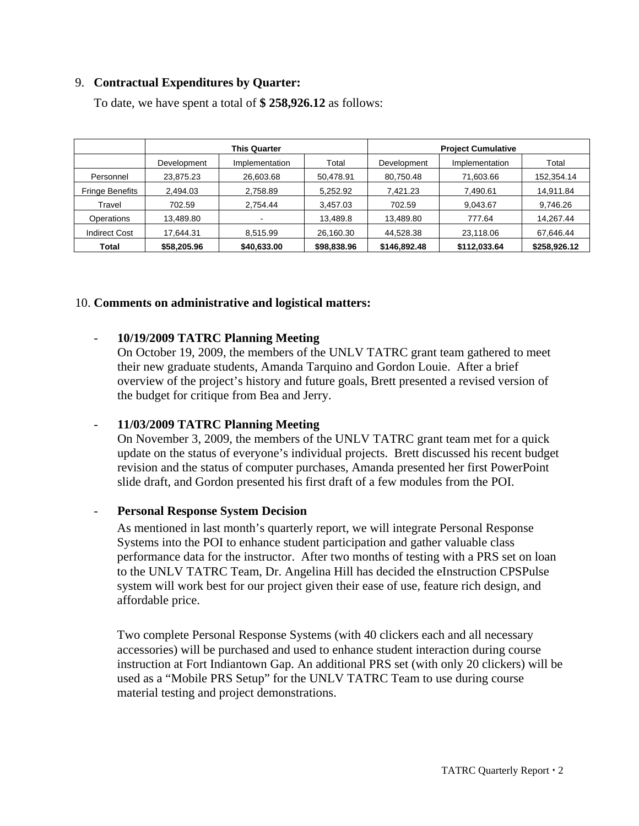#### 9. **Contractual Expenditures by Quarter:**

|                        | <b>This Quarter</b> |                | <b>Project Cumulative</b> |              |                |              |
|------------------------|---------------------|----------------|---------------------------|--------------|----------------|--------------|
|                        | Development         | Implementation | Total                     | Development  | Implementation | Total        |
| Personnel              | 23,875.23           | 26,603.68      | 50,478.91                 | 80,750.48    | 71,603.66      | 152,354.14   |
| <b>Fringe Benefits</b> | 2,494.03            | 2,758.89       | 5,252.92                  | 7,421.23     | 7,490.61       | 14,911.84    |
| Travel                 | 702.59              | 2,754.44       | 3,457.03                  | 702.59       | 9,043.67       | 9,746.26     |
| Operations             | 13,489.80           |                | 13,489.8                  | 13,489.80    | 777.64         | 14,267.44    |
| <b>Indirect Cost</b>   | 17.644.31           | 8,515.99       | 26,160.30                 | 44,528.38    | 23,118.06      | 67,646.44    |
| Total                  | \$58,205.96         | \$40,633.00    | \$98,838.96               | \$146,892.48 | \$112,033.64   | \$258,926.12 |

To date, we have spent a total of **\$ 258,926.12** as follows:

#### 10. **Comments on administrative and logistical matters:**

#### - **10/19/2009 TATRC Planning Meeting**

On October 19, 2009, the members of the UNLV TATRC grant team gathered to meet their new graduate students, Amanda Tarquino and Gordon Louie. After a brief overview of the project's history and future goals, Brett presented a revised version of the budget for critique from Bea and Jerry.

#### - **11/03/2009 TATRC Planning Meeting**

On November 3, 2009, the members of the UNLV TATRC grant team met for a quick update on the status of everyone's individual projects. Brett discussed his recent budget revision and the status of computer purchases, Amanda presented her first PowerPoint slide draft, and Gordon presented his first draft of a few modules from the POI.

#### - **Personal Response System Decision**

As mentioned in last month's quarterly report, we will integrate Personal Response Systems into the POI to enhance student participation and gather valuable class performance data for the instructor. After two months of testing with a PRS set on loan to the UNLV TATRC Team, Dr. Angelina Hill has decided the eInstruction CPSPulse system will work best for our project given their ease of use, feature rich design, and affordable price.

Two complete Personal Response Systems (with 40 clickers each and all necessary accessories) will be purchased and used to enhance student interaction during course instruction at Fort Indiantown Gap. An additional PRS set (with only 20 clickers) will be used as a "Mobile PRS Setup" for the UNLV TATRC Team to use during course material testing and project demonstrations.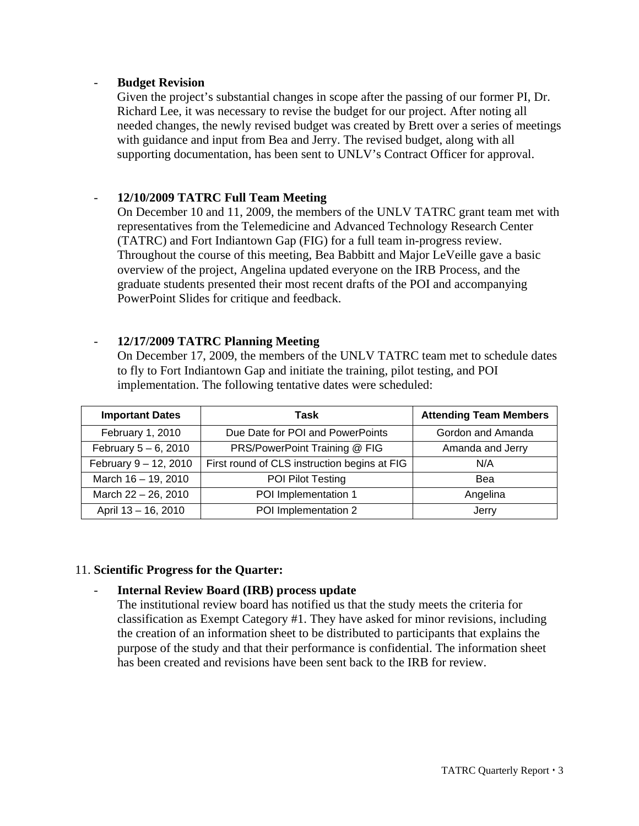#### - **Budget Revision**

Given the project's substantial changes in scope after the passing of our former PI, Dr. Richard Lee, it was necessary to revise the budget for our project. After noting all needed changes, the newly revised budget was created by Brett over a series of meetings with guidance and input from Bea and Jerry. The revised budget, along with all supporting documentation, has been sent to UNLV's Contract Officer for approval.

#### - **12/10/2009 TATRC Full Team Meeting**

On December 10 and 11, 2009, the members of the UNLV TATRC grant team met with representatives from the Telemedicine and Advanced Technology Research Center (TATRC) and Fort Indiantown Gap (FIG) for a full team in-progress review. Throughout the course of this meeting, Bea Babbitt and Major LeVeille gave a basic overview of the project, Angelina updated everyone on the IRB Process, and the graduate students presented their most recent drafts of the POI and accompanying PowerPoint Slides for critique and feedback.

#### - **12/17/2009 TATRC Planning Meeting**

On December 17, 2009, the members of the UNLV TATRC team met to schedule dates to fly to Fort Indiantown Gap and initiate the training, pilot testing, and POI implementation. The following tentative dates were scheduled:

| <b>Important Dates</b>  | Task                                         | <b>Attending Team Members</b> |  |
|-------------------------|----------------------------------------------|-------------------------------|--|
| February 1, 2010        | Due Date for POI and PowerPoints             | Gordon and Amanda             |  |
| February $5 - 6$ , 2010 | PRS/PowerPoint Training @ FIG                | Amanda and Jerry              |  |
| February 9 - 12, 2010   | First round of CLS instruction begins at FIG | N/A                           |  |
| March 16 - 19, 2010     | POI Pilot Testing                            | Bea                           |  |
| March $22 - 26$ , 2010  | POI Implementation 1                         | Angelina                      |  |
| April 13 - 16, 2010     | POI Implementation 2                         | Jerry                         |  |

#### 11. **Scientific Progress for the Quarter:**

#### - **Internal Review Board (IRB) process update**

The institutional review board has notified us that the study meets the criteria for classification as Exempt Category #1. They have asked for minor revisions, including the creation of an information sheet to be distributed to participants that explains the purpose of the study and that their performance is confidential. The information sheet has been created and revisions have been sent back to the IRB for review.